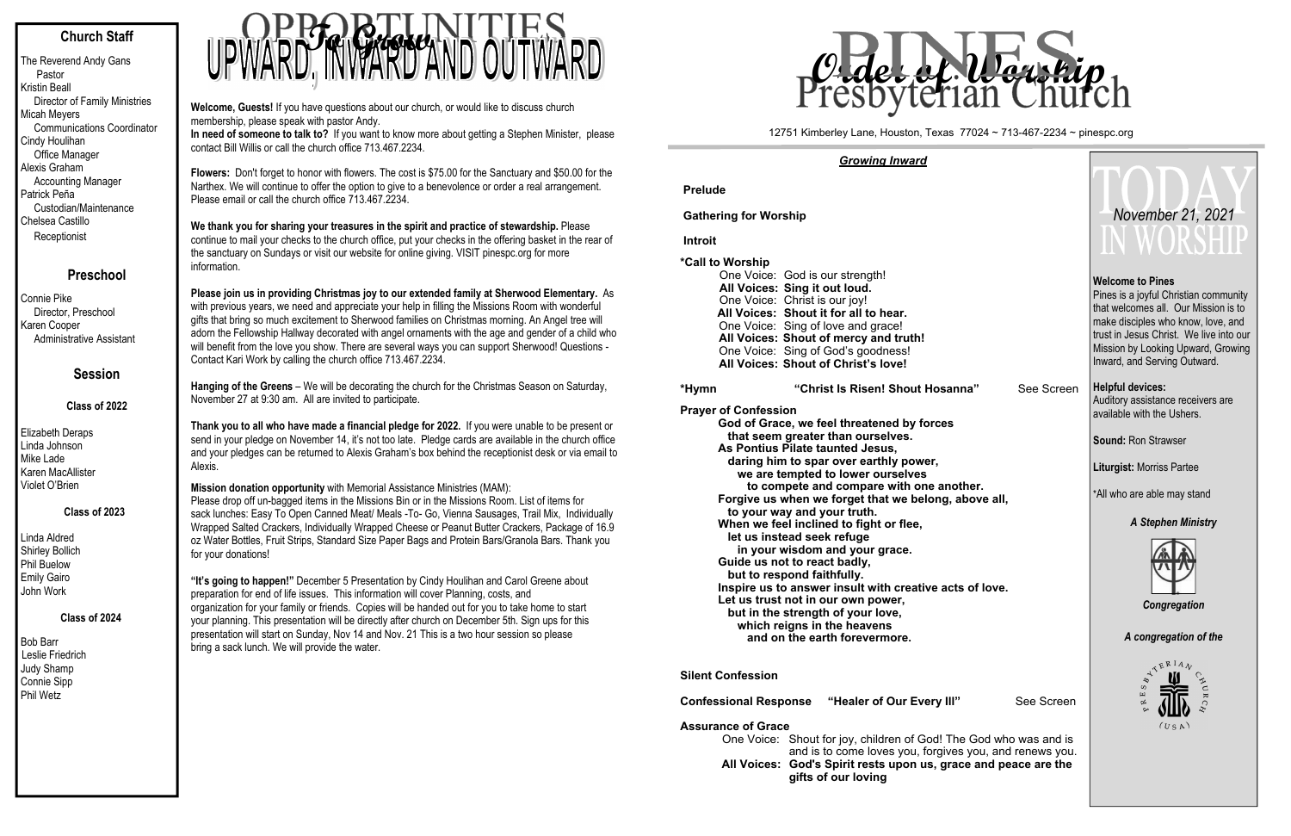# **Church Staff**

The Reverend Andy Gans Pastor Kristin Beall Director of Family Ministries Micah Meyers Communications Coordinator Cindy Houlihan Office Manager Alexis Graham Accounting Manager Patrick Peña Custodian/Maintenance Chelsea Castillo **Receptionist** 

## **Preschool**

Connie Pike Director, Preschool Karen Cooper Administrative Assistant

# **Session**

### **Class of 2022**

Elizabeth Deraps Linda Johnson Mike Lade Karen MacAllister Violet O'Brien

## **Class of 2023**

Linda Aldred Shirley Bollich Phil Buelow Emily Gairo John Work

 **Class of 2024** 

Bob Barr Leslie Friedrich Judy Shamp Connie Sipp Phil Wetz

**Welcome, Guests!** If you have questions about our church, or would like to discuss church membership, please speak with pastor Andy.

**Please join us in providing Christmas joy to our extended family at Sherwood Elementary.** As with previous years, we need and appreciate your help in filling the Missions Room with wonderful gifts that bring so much excitement to Sherwood families on Christmas morning. An Angel tree will adorn the Fellowship Hallway decorated with angel ornaments with the age and gender of a child who will benefit from the love you show. There are several ways you can support Sherwood! Questions -<br>Contact Kari Work by calling the church office 713.467.2234. Contact Kari Work by calling the church office 713.467.2234.

 **In need of someone to talk to?** If you want to know more about getting a Stephen Minister, please contact Bill Willis or call the church office 713.467.2234.

**Flowers:** Don't forget to honor with flowers. The cost is \$75.00 for the Sanctuary and \$50.00 for the Narthex. We will continue to offer the option to give to a benevolence or order a real arrangement. Please email or call the church office 713.467.2234.

**We thank you for sharing your treasures in the spirit and practice of stewardship.** Please continue to mail your checks to the church office, put your checks in the offering basket in the rear of the sanctuary on Sundays or visit our website for online giving. VISIT pinespc.org for more information.

**Hanging of the Greens** – We will be decorating the church for the Christmas Season on Saturday, November 27 at 9:30 am. All are invited to participate.

**Thank you to all who have made a financial pledge for 2022.** If you were unable to be present or send in your pledge on November 14, it's not too late. Pledge cards are available in the church office and your pledges can be returned to Alexis Graham's box behind the receptionist desk or via email to Alexis.

> One Voice: Shout for joy, children of God! The God of God Who was and is and is an and is to come loves you, forgive **All Voices: God's Spirit rests upon us, gr gifts of our loving**

**Mission donation opportunity** with Memorial Assistance Ministries (MAM): Please drop off un-bagged items in the Missions Bin or in the Missions Room. List of items for sack lunches: Easy To Open Canned Meat/ Meals -To- Go, Vienna Sausages, Trail Mix, Individually Wrapped Salted Crackers, Individually Wrapped Cheese or Peanut Butter Crackers, Package of 16.9 oz Water Bottles, Fruit Strips, Standard Size Paper Bags and Protein Bars/Granola Bars. Thank you for your donations!

**"It's going to happen!"** December 5 Presentation by Cindy Houlihan and Carol Greene about preparation for end of life issues. This information will cover Planning, costs, and organization for your family or friends. Copies will be handed out for you to take home to start your planning. This presentation will be directly after church on December 5th. Sign ups for this presentation will start on Sunday, Nov 14 and Nov. 21 This is a two hour session so please bring a sack lunch. We will provide the water.



#### *Growing Inward*

**Prelude**

**Gathering for Worship** 

 **Introit**

**\*Call to Worship**

One Voice: God is our strength! **All Voices: Sing it out loud.**  One Voice: Christ is our joy! **All Voices: Shout it for all to hear.**  One Voice: Sing of love and grace! **All Voices: Shout of mercy and truth!**  One Voice: Sing of God's goodness! **All Voices: Shout of Christ's love!** 

#### **\*Hym n**

"Christ Is Risen! Shout Hosa

**Prayer of Confession God of Grace, we feel threatened by forces that seem greater than ourselves. As Pontius Pilate taunted Jesus, daring him to spar over earthly power, we are tempted to lower ourselves**  to compete and compare with one an Forgive us when we forget that we belong,  **to your way and your truth. When we feel inclined to fight or flee, let us instead seek refuge in your wisdom and your grace. Guide us not to react badly, but to respond faithfully. Inspire us to answer insult with creative additionally Let us trust not in our own power, but in the strength of your love, which reigns in the heavens and on the earth forevermore.** 

### **Silent Confession**

**Confessional Response "Healer of Our Every II** 

#### **Assurance of Grace**

|                                                  |                         | November 21, 2021<br>IN WORSHIP                                                                                                                                                                                                                                 |  |  |  |  |  |
|--------------------------------------------------|-------------------------|-----------------------------------------------------------------------------------------------------------------------------------------------------------------------------------------------------------------------------------------------------------------|--|--|--|--|--|
|                                                  |                         | <b>Welcome to Pines</b><br>Pines is a joyful Christian community<br>that welcomes all. Our Mission is to<br>make disciples who know, love, and<br>trust in Jesus Christ. We live into our<br>Mission by Looking Upward, Growing<br>Inward, and Serving Outward. |  |  |  |  |  |
| anna"<br>s                                       | See Screen              | <b>Helpful devices:</b><br>Auditory assistance receivers are<br>available with the Ushers.                                                                                                                                                                      |  |  |  |  |  |
|                                                  |                         | <b>Sound: Ron Strawser</b>                                                                                                                                                                                                                                      |  |  |  |  |  |
|                                                  |                         | <b>Liturgist: Morriss Partee</b>                                                                                                                                                                                                                                |  |  |  |  |  |
| ıother.<br>, above all,                          |                         | *All who are able may stand                                                                                                                                                                                                                                     |  |  |  |  |  |
| cts of love.                                     |                         | <b>A Stephen Ministry</b><br>Congregation                                                                                                                                                                                                                       |  |  |  |  |  |
|                                                  |                         | A congregation of the                                                                                                                                                                                                                                           |  |  |  |  |  |
| יוו                                              | See Screen              | $E^{RIA}$<br>S<br>щ<br>$\overline{\mathbf{z}}$<br>(USA)                                                                                                                                                                                                         |  |  |  |  |  |
| The God who was and is<br>race and peace are the | es you, and renews you. |                                                                                                                                                                                                                                                                 |  |  |  |  |  |
|                                                  |                         |                                                                                                                                                                                                                                                                 |  |  |  |  |  |

#### 12751 Kimberley Lane, Houston, Texas 77024 ~ 713-467-2234 ~ pinespc.org